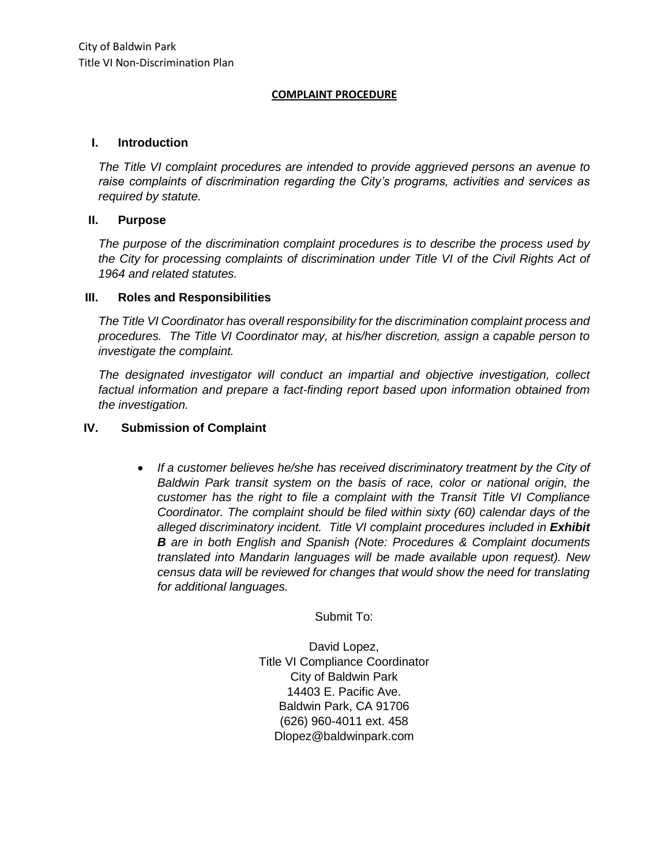#### **COMPLAINT PROCEDURE**

#### **I. Introduction**

*The Title VI complaint procedures are intended to provide aggrieved persons an avenue to raise complaints of discrimination regarding the City's programs, activities and services as required by statute.* 

### **II. Purpose**

*The purpose of the discrimination complaint procedures is to describe the process used by the City for processing complaints of discrimination under Title VI of the Civil Rights Act of 1964 and related statutes.* 

### **III. Roles and Responsibilities**

*The Title VI Coordinator has overall responsibility for the discrimination complaint process and procedures. The Title VI Coordinator may, at his/her discretion, assign a capable person to investigate the complaint.* 

*The designated investigator will conduct an impartial and objective investigation, collect factual information and prepare a fact-finding report based upon information obtained from the investigation.* 

### **IV. Submission of Complaint**

 *If a customer believes he/she has received discriminatory treatment by the City of Baldwin Park transit system on the basis of race, color or national origin, the customer has the right to file a complaint with the Transit Title VI Compliance Coordinator. The complaint should be filed within sixty (60) calendar days of the*  alleged discriminatory incident. Title VI complaint procedures included in **Exhibit** *B are in both English and Spanish (Note: Procedures & Complaint documents translated into Mandarin languages will be made available upon request). New census data will be reviewed for changes that would show the need for translating for additional languages.* 

Submit To:

David Lopez, Title VI Compliance Coordinator City of Baldwin Park 14403 E. Pacific Ave. Baldwin Park, CA 91706 (626) 960-4011 ext. 458 Dlopez@baldwinpark.com